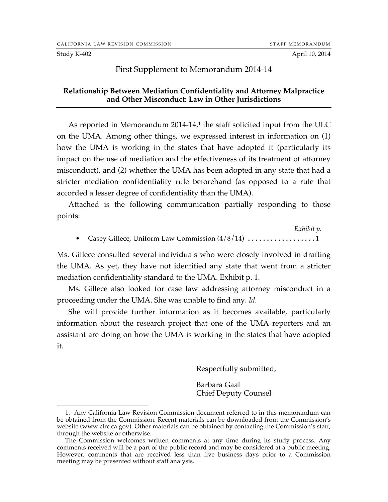Study K-402 **April 10, 2014** 

## First Supplement to Memorandum 2014-14

## **Relationship Between Mediation Confidentiality and Attorney Malpractice and Other Misconduct: Law in Other Jurisdictions**

As reported in Memorandum 2014-14,<sup>1</sup> the staff solicited input from the ULC on the UMA. Among other things, we expressed interest in information on (1) how the UMA is working in the states that have adopted it (particularly its impact on the use of mediation and the effectiveness of its treatment of attorney misconduct), and (2) whether the UMA has been adopted in any state that had a stricter mediation confidentiality rule beforehand (as opposed to a rule that accorded a lesser degree of confidentiality than the UMA).

Attached is the following communication partially responding to those points:

*Exhibit p.* Casey Gillece, Uniform Law Commission  $\left(\frac{4}{8}/14\right)$  .........................1

Ms. Gillece consulted several individuals who were closely involved in drafting the UMA. As yet, they have not identified any state that went from a stricter mediation confidentiality standard to the UMA. Exhibit p. 1.

Ms. Gillece also looked for case law addressing attorney misconduct in a proceeding under the UMA. She was unable to find any. *Id.*

She will provide further information as it becomes available, particularly information about the research project that one of the UMA reporters and an assistant are doing on how the UMA is working in the states that have adopted it.

Respectfully submitted,

Barbara Gaal Chief Deputy Counsel

 <sup>1.</sup> Any California Law Revision Commission document referred to in this memorandum can be obtained from the Commission. Recent materials can be downloaded from the Commission's website (www.clrc.ca.gov). Other materials can be obtained by contacting the Commission's staff, through the website or otherwise.

The Commission welcomes written comments at any time during its study process. Any comments received will be a part of the public record and may be considered at a public meeting. However, comments that are received less than five business days prior to a Commission meeting may be presented without staff analysis.